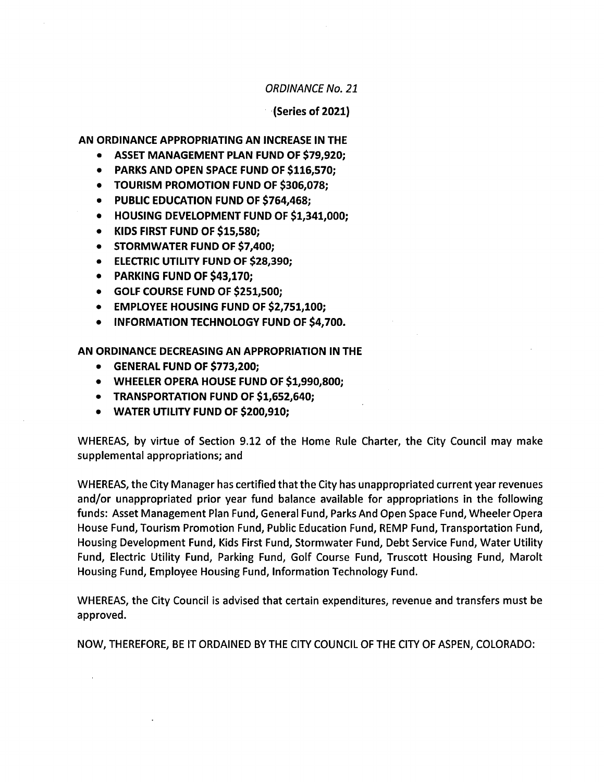ORDINANCE No. 21

 $(Series of 2021)$ 

AN ORDINANCE APPROPRIATING AN INCREASE IN THE

- ASSET MANAGEMENT PLAN FUND OF \$79,920;
- PARKS AND OPEN SPACE FUND OF \$116,570;
- TOURISM PROMOTION FUND OF \$306,078;
- PUBLIC EDUCATION FUND OF \$764,468:
- HOUSING DEVELOPMENT FUND OF \$1,341,000:  $\bullet$
- KIDS FIRST FUND OF \$15,580;
- STORMWATER FUND OF \$7,400;
- **ELECTRIC UTILITY FUND OF \$28,390;**
- PARKING FUND OF \$43,170;
- GOLF COURSE FUND OF \$251,500;
- **EMPLOYEE HOUSING FUND OF \$2,751,100;**
- INFORMATION TECHNOLOGY FUND OF \$4,700.

AN ORDINANCE DECREASING AN APPROPRIATION IN THE

- GENERAL FUND OF \$773,200;
- WHEELER OPERA HOUSE FUND OF \$1,990,800;
- TRANSPORTATION FUND OF \$1,652,640;
- WATER UTILITY FUND OF \$200,910;

WHEREAS, by virtue of Section 9.12 of the Home Rule Charter, the City Council may make supplemental appropriations; and

WHEREAS, the City Manager has certified that the City has unappropriated current year revenues and/or unappropriated prior year fund balance available for appropriations in the following funds: Asset Management Plan Fund, General Fund, Parks And Open Space Fund, Wheeler Opera House Fund, Tourism Promotion Fund, Public Education Fund, REMP Fund, Transportation Fund, Housing Development Fund, Kids First Fund, Stormwater Fund, Debt Service Fund, Water Utility Fund, Electric Utility Fund, Parking Fund, Golf Course Fund, Truscott Housing Fund, Marolt Housing Fund, Employee Housing Fund, Information Technology Fund.

WHEREAS, the City Council is advised that certain expenditures, revenue and transfers must be approved.

NOW, THEREFORE, BE IT ORDAINED BY THE CITY COUNCIL OF THE CITY OF ASPEN, COLORADO: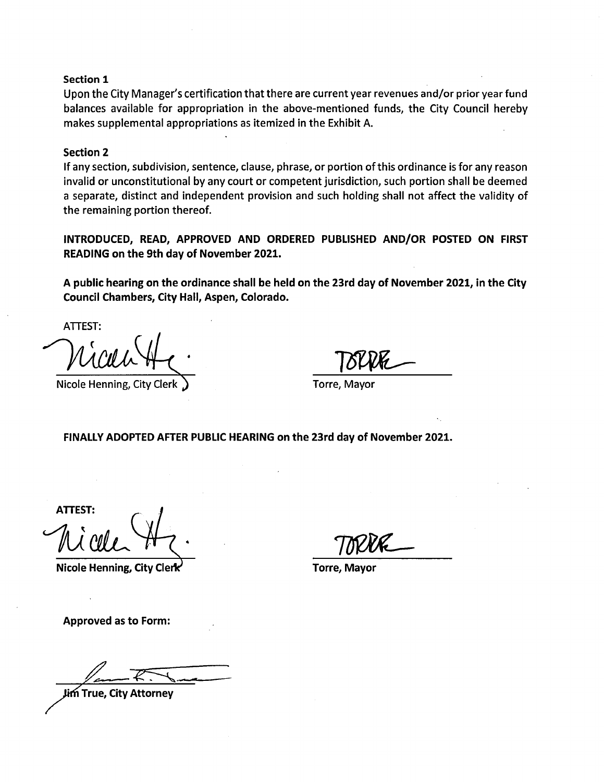#### Section 1

Upon the City Manager's certification that there are current year revenues and/or prior year fund balances available for appropriation in the above- mentioned funds, the City Council hereby makes supplemental appropriations as itemized in the Exhibit A.

#### Section 2

If any section, subdivision, sentence, clause, phrase, or portion of this ordinance is for any reason invalid or unconstitutional by any court or competent jurisdiction, such portion shall be deemed <sup>a</sup> separate, distinct and independent provision and such holding shall not affect the validity of the remaining portion thereof.

INTRODUCED, READ, APPROVED AND ORDERED PUBLISHED AND/OR POSTED ON FIRST READING on the 9th day of November 2021.

A public hearing on the ordinance shall be held on the 23rd day of November 2021, in the City Council Chambers, City Hall, Aspen, Colorado.

ATTEST:

Nicole Henning, City Clerk (1) Torre, Mayor

FINALLY ADOPTED AFTER PUBLIC HEARING on the 23rd day of November 2021.

ATTEST:

Nicole Henning, City Clerk and Torre, Mayor

Approved as to Form:

True, City Attorney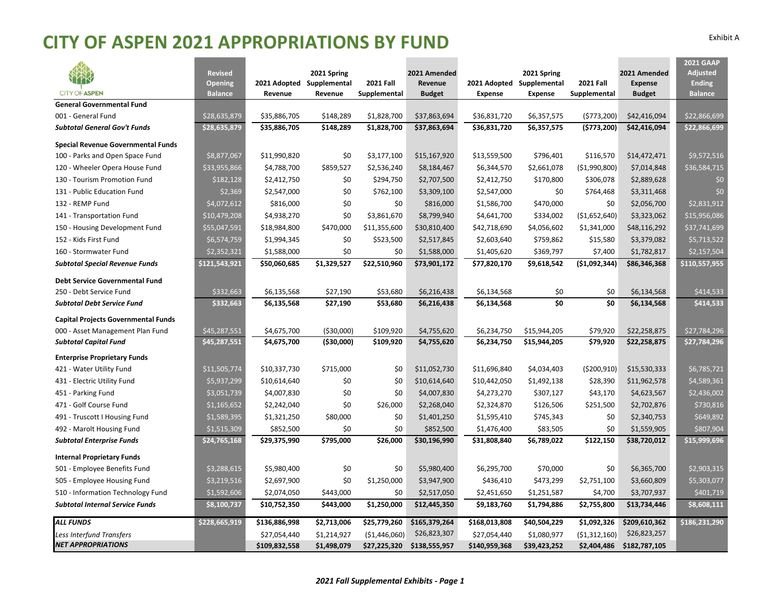#### **CITY OF ASPEN 2021 APPROPRIATIONS BY FUND** Exhibit <sup>A</sup>

|                                            |                                  |                         |                         |                                  |                          |                |              |                                  |                                 | <b>2021 GAAP</b>                |
|--------------------------------------------|----------------------------------|-------------------------|-------------------------|----------------------------------|--------------------------|----------------|--------------|----------------------------------|---------------------------------|---------------------------------|
|                                            | <b>Revised</b>                   |                         | 2021 Spring             |                                  | 2021 Amended             |                | 2021 Spring  |                                  | 2021 Amended                    | <b>Adjusted</b>                 |
| <b>CITY OF ASPEN</b>                       | <b>Opening</b><br><b>Balance</b> | 2021 Adopted<br>Revenue | Supplemental<br>Revenue | <b>2021 Fall</b><br>Supplemental | Revenue<br><b>Budget</b> | 2021 Adopted   | Supplemental | <b>2021 Fall</b><br>Supplemental | <b>Expense</b><br><b>Budget</b> | <b>Ending</b><br><b>Balance</b> |
| <b>General Governmental Fund</b>           |                                  |                         |                         |                                  |                          | <b>Expense</b> | Expense      |                                  |                                 |                                 |
| 001 - General Fund                         | \$28,635,879                     | \$35,886,705            | \$148,289               | \$1,828,700                      | \$37,863,694             | \$36,831,720   | \$6,357,575  | (5773,200)                       | \$42,416,094                    | \$22,866,699                    |
| <b>Subtotal General Gov't Funds</b>        | \$28,635,879                     | \$35,886,705            | \$148,289               | \$1,828,700                      | \$37,863,694             | \$36,831,720   | \$6,357,575  | (5773,200)                       | \$42,416,094                    | \$22,866,699                    |
|                                            |                                  |                         |                         |                                  |                          |                |              |                                  |                                 |                                 |
| <b>Special Revenue Governmental Funds</b>  |                                  |                         |                         |                                  |                          |                |              |                                  |                                 |                                 |
| 100 - Parks and Open Space Fund            | \$8,877,067                      | \$11,990,820            | \$0                     | \$3,177,100                      | \$15,167,920             | \$13,559,500   | \$796,401    | \$116,570                        | \$14,472,471                    | \$9,572,516                     |
| 120 - Wheeler Opera House Fund             | \$33,955,866                     | \$4,788,700             | \$859,527               | \$2,536,240                      | \$8,184,467              | \$6,344,570    | \$2,661,078  | ( \$1,990,800)                   | \$7,014,848                     | \$36,584,715                    |
| 130 - Tourism Promotion Fund               | \$182,128                        | \$2,412,750             | \$0                     | \$294,750                        | \$2,707,500              | \$2,412,750    | \$170,800    | \$306,078                        | \$2,889,628                     | \$0                             |
| 131 - Public Education Fund                | \$2,369                          | \$2,547,000             | \$0                     | \$762,100                        | \$3,309,100              | \$2,547,000    | \$0          | \$764,468                        | \$3,311,468                     | \$0                             |
| 132 - REMP Fund                            | \$4,072,612                      | \$816,000               | \$0                     | \$0                              | \$816,000                | \$1,586,700    | \$470,000    | \$0                              | \$2,056,700                     | \$2,831,912                     |
| 141 - Transportation Fund                  | \$10,479,208                     | \$4,938,270             | \$0                     | \$3,861,670                      | \$8,799,940              | \$4,641,700    | \$334,002    | (\$1,652,640)                    | \$3,323,062                     | \$15,956,086                    |
| 150 - Housing Development Fund             | \$55,047,591                     | \$18,984,800            | \$470,000               | \$11,355,600                     | \$30,810,400             | \$42,718,690   | \$4,056,602  | \$1,341,000                      | \$48,116,292                    | \$37,741,699                    |
| 152 - Kids First Fund                      | \$6,574,759                      | \$1,994,345             | \$0                     | \$523,500                        | \$2,517,845              | \$2,603,640    | \$759,862    | \$15,580                         | \$3,379,082                     | \$5,713,522                     |
| 160 - Stormwater Fund                      | \$2,352,321                      | \$1,588,000             | \$0                     | \$0                              | \$1,588,000              | \$1,405,620    | \$369,797    | \$7,400                          | \$1,782,817                     | \$2,157,504                     |
| <b>Subtotal Special Revenue Funds</b>      | \$121,543,921                    | \$50,060,685            | \$1,329,527             | \$22,510,960                     | \$73,901,172             | \$77,820,170   | \$9,618,542  | ( \$1,092,344)                   | \$86,346,368                    | \$110,557,955                   |
| <b>Debt Service Governmental Fund</b>      |                                  |                         |                         |                                  |                          |                |              |                                  |                                 |                                 |
| 250 - Debt Service Fund                    | \$332,663                        | \$6,135,568             | \$27,190                | \$53,680                         | \$6,216,438              | \$6,134,568    | \$0          | \$0                              | \$6,134,568                     | \$414,533                       |
| <b>Subtotal Debt Service Fund</b>          | \$332,663                        | \$6,135,568             | \$27,190                | \$53,680                         | \$6,216,438              | \$6,134,568    | \$O          | \$0                              | \$6,134,568                     | \$414,533                       |
| <b>Capital Projects Governmental Funds</b> |                                  |                         |                         |                                  |                          |                |              |                                  |                                 |                                 |
| 000 - Asset Management Plan Fund           | \$45,287,551                     | \$4,675,700             | ( \$30,000)             | \$109,920                        | \$4,755,620              | \$6,234,750    | \$15,944,205 | \$79,920                         | \$22,258,875                    | \$27,784,296                    |
| <b>Subtotal Capital Fund</b>               | \$45,287,551                     | \$4,675,700             | ( \$30,000)             | \$109,920                        | \$4,755,620              | \$6,234,750    | \$15,944,205 | \$79,920                         | \$22,258,875                    | \$27,784,296                    |
| <b>Enterprise Proprietary Funds</b>        |                                  |                         |                         |                                  |                          |                |              |                                  |                                 |                                 |
| 421 - Water Utility Fund                   | \$11,505,774                     | \$10,337,730            | \$715,000               | \$0                              | \$11,052,730             | \$11,696,840   | \$4,034,403  | ( \$200, 910)                    | \$15,530,333                    | \$6,785,721                     |
| 431 - Electric Utility Fund                | \$5,937,299                      | \$10,614,640            | \$0                     | \$0                              | \$10,614,640             | \$10,442,050   | \$1,492,138  | \$28,390                         | \$11,962,578                    | \$4,589,361                     |
| 451 - Parking Fund                         | \$3,051,739                      | \$4,007,830             | \$0                     | \$0                              | \$4,007,830              | \$4,273,270    | \$307,127    | \$43,170                         | \$4,623,567                     | \$2,436,002                     |
| 471 - Golf Course Fund                     | \$1,165,652                      | \$2,242,040             | \$0                     | \$26,000                         | \$2,268,040              | \$2,324,870    | \$126,506    | \$251,500                        | \$2,702,876                     | \$730,816                       |
| 491 - Truscott I Housing Fund              | \$1,589,395                      | \$1,321,250             | \$80,000                | \$0                              | \$1,401,250              | \$1,595,410    | \$745,343    | \$0                              | \$2,340,753                     | \$649,892                       |
| 492 - Marolt Housing Fund                  | \$1,515,309                      | \$852,500               | \$0                     | \$0                              | \$852,500                | \$1,476,400    | \$83,505     | \$0                              | \$1,559,905                     | \$807,904                       |
| <b>Subtotal Enterprise Funds</b>           | \$24,765,168                     | \$29,375,990            | \$795,000               | \$26,000                         | \$30,196,990             | \$31,808,840   | \$6,789,022  | \$122,150                        | \$38,720,012                    | \$15,999,696                    |
| <b>Internal Proprietary Funds</b>          |                                  |                         |                         |                                  |                          |                |              |                                  |                                 |                                 |
| 501 - Employee Benefits Fund               | \$3,288,615                      | \$5,980,400             | \$0                     | \$0                              | \$5,980,400              | \$6,295,700    | \$70,000     | \$0                              | \$6,365,700                     | \$2,903,315                     |
| 505 - Employee Housing Fund                | \$3,219,516                      | \$2,697,900             | \$0                     | \$1,250,000                      | \$3,947,900              | \$436,410      | \$473,299    | \$2,751,100                      | \$3,660,809                     | \$5,303,077                     |
| 510 - Information Technology Fund          | \$1,592,606                      | \$2,074,050             | \$443,000               | \$0                              | \$2,517,050              | \$2,451,650    | \$1,251,587  | \$4,700                          | \$3,707,937                     | \$401,719                       |
| <b>Subtotal Internal Service Funds</b>     | \$8,100,737                      | \$10,752,350            | \$443,000               | \$1,250,000                      | \$12,445,350             | \$9,183,760    | \$1,794,886  | \$2,755,800                      | \$13,734,446                    | \$8,608,111                     |
| <b>ALL FUNDS</b>                           | \$228,665,919                    | \$136,886,998           | \$2,713,006             | \$25,779,260                     | \$165,379,264            | \$168,013,808  | \$40,504,229 | \$1,092,326                      | \$209,610,362                   | \$186,231,290                   |
| Less Interfund Transfers                   |                                  | \$27,054,440            | \$1,214,927             | ( \$1,446,060)                   | \$26,823,307             | \$27,054,440   | \$1,080,977  | (51,312,160)                     | \$26,823,257                    |                                 |
| <b>NET APPROPRIATIONS</b>                  |                                  | \$109,832,558           | \$1,498,079             | \$27,225,320                     | \$138,555,957            | \$140,959,368  | \$39,423,252 | \$2,404,486                      | \$182,787,105                   |                                 |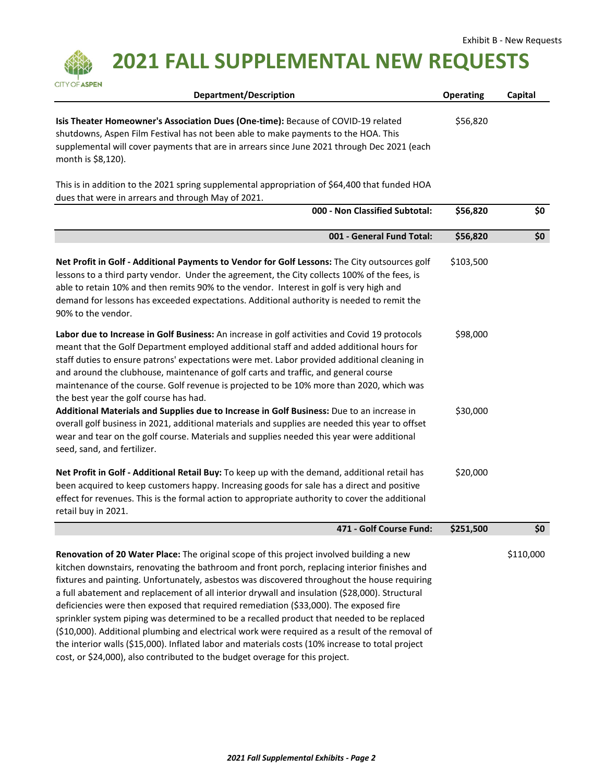

 **2021 FALL SUPPLEMENTAL NEW REQUESTS**

| <b>Department/Description</b>                                                                                                                                                                                                                                                                                                                                                                                                                                                                                                                                                                                                                                                                                                                                                                                                                                            | <b>Operating</b> | Capital   |
|--------------------------------------------------------------------------------------------------------------------------------------------------------------------------------------------------------------------------------------------------------------------------------------------------------------------------------------------------------------------------------------------------------------------------------------------------------------------------------------------------------------------------------------------------------------------------------------------------------------------------------------------------------------------------------------------------------------------------------------------------------------------------------------------------------------------------------------------------------------------------|------------------|-----------|
| Isis Theater Homeowner's Association Dues (One-time): Because of COVID-19 related<br>shutdowns, Aspen Film Festival has not been able to make payments to the HOA. This<br>supplemental will cover payments that are in arrears since June 2021 through Dec 2021 (each<br>month is \$8,120).                                                                                                                                                                                                                                                                                                                                                                                                                                                                                                                                                                             | \$56,820         |           |
| This is in addition to the 2021 spring supplemental appropriation of \$64,400 that funded HOA<br>dues that were in arrears and through May of 2021.                                                                                                                                                                                                                                                                                                                                                                                                                                                                                                                                                                                                                                                                                                                      |                  |           |
| 000 - Non Classified Subtotal:                                                                                                                                                                                                                                                                                                                                                                                                                                                                                                                                                                                                                                                                                                                                                                                                                                           | \$56,820         | \$0       |
| 001 - General Fund Total:                                                                                                                                                                                                                                                                                                                                                                                                                                                                                                                                                                                                                                                                                                                                                                                                                                                | \$56,820         | \$0       |
| Net Profit in Golf - Additional Payments to Vendor for Golf Lessons: The City outsources golf<br>lessons to a third party vendor. Under the agreement, the City collects 100% of the fees, is<br>able to retain 10% and then remits 90% to the vendor. Interest in golf is very high and<br>demand for lessons has exceeded expectations. Additional authority is needed to remit the<br>90% to the vendor.                                                                                                                                                                                                                                                                                                                                                                                                                                                              | \$103,500        |           |
| Labor due to Increase in Golf Business: An increase in golf activities and Covid 19 protocols<br>meant that the Golf Department employed additional staff and added additional hours for<br>staff duties to ensure patrons' expectations were met. Labor provided additional cleaning in<br>and around the clubhouse, maintenance of golf carts and traffic, and general course<br>maintenance of the course. Golf revenue is projected to be 10% more than 2020, which was<br>the best year the golf course has had.                                                                                                                                                                                                                                                                                                                                                    | \$98,000         |           |
| Additional Materials and Supplies due to Increase in Golf Business: Due to an increase in<br>overall golf business in 2021, additional materials and supplies are needed this year to offset<br>wear and tear on the golf course. Materials and supplies needed this year were additional<br>seed, sand, and fertilizer.                                                                                                                                                                                                                                                                                                                                                                                                                                                                                                                                                 | \$30,000         |           |
| Net Profit in Golf - Additional Retail Buy: To keep up with the demand, additional retail has<br>been acquired to keep customers happy. Increasing goods for sale has a direct and positive<br>effect for revenues. This is the formal action to appropriate authority to cover the additional<br>retail buy in 2021.                                                                                                                                                                                                                                                                                                                                                                                                                                                                                                                                                    | \$20,000         |           |
| 471 - Golf Course Fund:                                                                                                                                                                                                                                                                                                                                                                                                                                                                                                                                                                                                                                                                                                                                                                                                                                                  | \$251,500        | \$0       |
| Renovation of 20 Water Place: The original scope of this project involved building a new<br>kitchen downstairs, renovating the bathroom and front porch, replacing interior finishes and<br>fixtures and painting. Unfortunately, asbestos was discovered throughout the house requiring<br>a full abatement and replacement of all interior drywall and insulation (\$28,000). Structural<br>deficiencies were then exposed that required remediation (\$33,000). The exposed fire<br>sprinkler system piping was determined to be a recalled product that needed to be replaced<br>(\$10,000). Additional plumbing and electrical work were required as a result of the removal of<br>the interior walls (\$15,000). Inflated labor and materials costs (10% increase to total project<br>cost, or \$24,000), also contributed to the budget overage for this project. |                  | \$110,000 |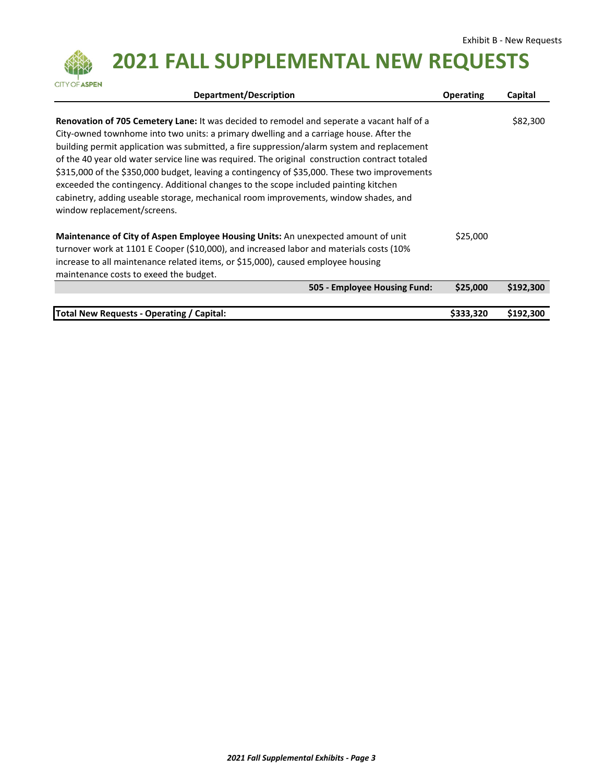

 **2021 FALL SUPPLEMENTAL NEW REQUESTS**

| Department/Description                                                                                                                                                                                                                                                                                                                                                                                                                                                                                                                                                                                                                                                                                   | <b>Operating</b> | Capital   |
|----------------------------------------------------------------------------------------------------------------------------------------------------------------------------------------------------------------------------------------------------------------------------------------------------------------------------------------------------------------------------------------------------------------------------------------------------------------------------------------------------------------------------------------------------------------------------------------------------------------------------------------------------------------------------------------------------------|------------------|-----------|
| <b>Renovation of 705 Cemetery Lane:</b> It was decided to remodel and seperate a vacant half of a<br>City-owned townhome into two units: a primary dwelling and a carriage house. After the<br>building permit application was submitted, a fire suppression/alarm system and replacement<br>of the 40 year old water service line was required. The original construction contract totaled<br>\$315,000 of the \$350,000 budget, leaving a contingency of \$35,000. These two improvements<br>exceeded the contingency. Additional changes to the scope included painting kitchen<br>cabinetry, adding useable storage, mechanical room improvements, window shades, and<br>window replacement/screens. |                  | \$82,300  |
| Maintenance of City of Aspen Employee Housing Units: An unexpected amount of unit<br>turnover work at 1101 E Cooper (\$10,000), and increased labor and materials costs (10%<br>increase to all maintenance related items, or \$15,000), caused employee housing<br>maintenance costs to exeed the budget.                                                                                                                                                                                                                                                                                                                                                                                               | \$25,000         |           |
| 505 - Employee Housing Fund:                                                                                                                                                                                                                                                                                                                                                                                                                                                                                                                                                                                                                                                                             | \$25,000         | \$192,300 |
|                                                                                                                                                                                                                                                                                                                                                                                                                                                                                                                                                                                                                                                                                                          |                  |           |
| Total New Requests - Operating / Capital:                                                                                                                                                                                                                                                                                                                                                                                                                                                                                                                                                                                                                                                                | \$333,320        | \$192,300 |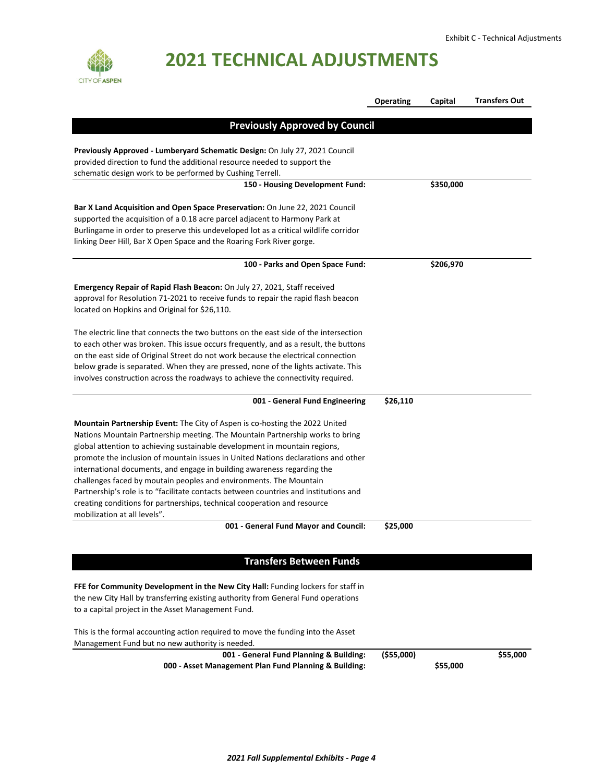

|                                                                                                          | <b>Operating</b> | Capital   | <b>Transfers Out</b> |
|----------------------------------------------------------------------------------------------------------|------------------|-----------|----------------------|
|                                                                                                          |                  |           |                      |
| <b>Previously Approved by Council</b>                                                                    |                  |           |                      |
|                                                                                                          |                  |           |                      |
| Previously Approved - Lumberyard Schematic Design: On July 27, 2021 Council                              |                  |           |                      |
| provided direction to fund the additional resource needed to support the                                 |                  |           |                      |
| schematic design work to be performed by Cushing Terrell.                                                |                  |           |                      |
| 150 - Housing Development Fund:                                                                          |                  | \$350,000 |                      |
| Bar X Land Acquisition and Open Space Preservation: On June 22, 2021 Council                             |                  |           |                      |
| supported the acquisition of a 0.18 acre parcel adjacent to Harmony Park at                              |                  |           |                      |
| Burlingame in order to preserve this undeveloped lot as a critical wildlife corridor                     |                  |           |                      |
|                                                                                                          |                  |           |                      |
| linking Deer Hill, Bar X Open Space and the Roaring Fork River gorge.                                    |                  |           |                      |
| 100 - Parks and Open Space Fund:                                                                         |                  | \$206,970 |                      |
| Emergency Repair of Rapid Flash Beacon: On July 27, 2021, Staff received                                 |                  |           |                      |
| approval for Resolution 71-2021 to receive funds to repair the rapid flash beacon                        |                  |           |                      |
| located on Hopkins and Original for \$26,110.                                                            |                  |           |                      |
| The electric line that connects the two buttons on the east side of the intersection                     |                  |           |                      |
| to each other was broken. This issue occurs frequently, and as a result, the buttons                     |                  |           |                      |
|                                                                                                          |                  |           |                      |
| on the east side of Original Street do not work because the electrical connection                        |                  |           |                      |
| below grade is separated. When they are pressed, none of the lights activate. This                       |                  |           |                      |
| involves construction across the roadways to achieve the connectivity required.                          |                  |           |                      |
| 001 - General Fund Engineering                                                                           | \$26,110         |           |                      |
| Mountain Partnership Event: The City of Aspen is co-hosting the 2022 United                              |                  |           |                      |
| Nations Mountain Partnership meeting. The Mountain Partnership works to bring                            |                  |           |                      |
| global attention to achieving sustainable development in mountain regions,                               |                  |           |                      |
| promote the inclusion of mountain issues in United Nations declarations and other                        |                  |           |                      |
| international documents, and engage in building awareness regarding the                                  |                  |           |                      |
|                                                                                                          |                  |           |                      |
| challenges faced by moutain peoples and environments. The Mountain                                       |                  |           |                      |
| Partnership's role is to "facilitate contacts between countries and institutions and                     |                  |           |                      |
| creating conditions for partnerships, technical cooperation and resource<br>mobilization at all levels". |                  |           |                      |
| 001 - General Fund Mayor and Council:                                                                    | \$25,000         |           |                      |
|                                                                                                          |                  |           |                      |
| <b>Transfers Between Funds</b>                                                                           |                  |           |                      |
|                                                                                                          |                  |           |                      |
| FFE for Community Development in the New City Hall: Funding lockers for staff in                         |                  |           |                      |
| the new City Hall by transferring existing authority from General Fund operations                        |                  |           |                      |
| to a capital project in the Asset Management Fund.                                                       |                  |           |                      |
| This is the formal accounting action required to move the funding into the Asset                         |                  |           |                      |
| Management Fund but no new authority is needed.                                                          |                  |           |                      |
| 001 - General Fund Planning & Building:                                                                  | ( \$55,000)      |           | \$55,000             |
| 000 - Asset Management Plan Fund Planning & Building:                                                    |                  | \$55,000  |                      |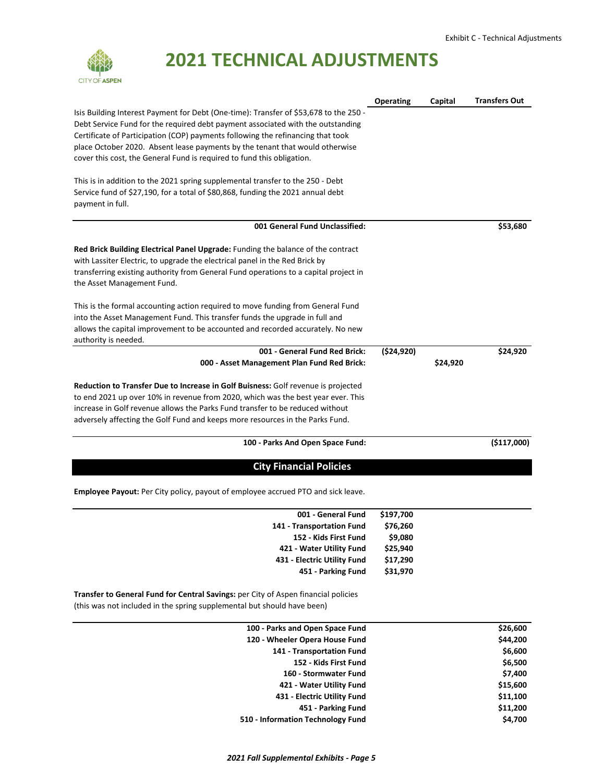

|                                                                                                                                                                                                                                                             | <b>Operating</b> | Capital  | <b>Transfers Out</b> |
|-------------------------------------------------------------------------------------------------------------------------------------------------------------------------------------------------------------------------------------------------------------|------------------|----------|----------------------|
| Isis Building Interest Payment for Debt (One-time): Transfer of \$53,678 to the 250 -<br>Debt Service Fund for the required debt payment associated with the outstanding<br>Certificate of Participation (COP) payments following the refinancing that took |                  |          |                      |
| place October 2020. Absent lease payments by the tenant that would otherwise<br>cover this cost, the General Fund is required to fund this obligation.                                                                                                      |                  |          |                      |
| This is in addition to the 2021 spring supplemental transfer to the 250 - Debt<br>Service fund of \$27,190, for a total of \$80,868, funding the 2021 annual debt<br>payment in full.                                                                       |                  |          |                      |
| 001 General Fund Unclassified:                                                                                                                                                                                                                              |                  |          | \$53,680             |
| Red Brick Building Electrical Panel Upgrade: Funding the balance of the contract                                                                                                                                                                            |                  |          |                      |
| with Lassiter Electric, to upgrade the electrical panel in the Red Brick by                                                                                                                                                                                 |                  |          |                      |
| transferring existing authority from General Fund operations to a capital project in<br>the Asset Management Fund.                                                                                                                                          |                  |          |                      |
| This is the formal accounting action required to move funding from General Fund                                                                                                                                                                             |                  |          |                      |
| into the Asset Management Fund. This transfer funds the upgrade in full and                                                                                                                                                                                 |                  |          |                      |
| allows the capital improvement to be accounted and recorded accurately. No new<br>authority is needed.                                                                                                                                                      |                  |          |                      |
| 001 - General Fund Red Brick:                                                                                                                                                                                                                               | (524, 920)       |          | \$24,920             |
| 000 - Asset Management Plan Fund Red Brick:                                                                                                                                                                                                                 |                  | \$24,920 |                      |
| Reduction to Transfer Due to Increase in Golf Buisness: Golf revenue is projected                                                                                                                                                                           |                  |          |                      |
| to end 2021 up over 10% in revenue from 2020, which was the best year ever. This                                                                                                                                                                            |                  |          |                      |
| increase in Golf revenue allows the Parks Fund transfer to be reduced without                                                                                                                                                                               |                  |          |                      |
| adversely affecting the Golf Fund and keeps more resources in the Parks Fund.                                                                                                                                                                               |                  |          |                      |
| 100 - Parks And Open Space Fund:                                                                                                                                                                                                                            |                  |          | ( \$117,000]         |
| <b>City Financial Policies</b>                                                                                                                                                                                                                              |                  |          |                      |
| <b>Employee Payout:</b> Per City policy, payout of employee accrued PTO and sick leave.                                                                                                                                                                     |                  |          |                      |
| 001 - General Fund                                                                                                                                                                                                                                          | \$197,700        |          |                      |
| 141 - Transportation Fund                                                                                                                                                                                                                                   | \$76,260         |          |                      |
| 152 - Kids First Fund                                                                                                                                                                                                                                       | \$9,080          |          |                      |
| 421 - Water Utility Fund                                                                                                                                                                                                                                    | \$25,940         |          |                      |
| 431 - Electric Utility Fund                                                                                                                                                                                                                                 | \$17,290         |          |                      |
| 451 - Parking Fund                                                                                                                                                                                                                                          | \$31,970         |          |                      |
|                                                                                                                                                                                                                                                             |                  |          |                      |

**Transfer to General Fund for Central Savings:** per City of Aspen financial policies (this was not included in the spring supplemental but should have been)

| 100 - Parks and Open Space Fund   | \$26,600 |
|-----------------------------------|----------|
| 120 - Wheeler Opera House Fund    | \$44,200 |
| 141 - Transportation Fund         | \$6,600  |
| 152 - Kids First Fund             | \$6,500  |
| 160 - Stormwater Fund             | \$7,400  |
| 421 - Water Utility Fund          | \$15,600 |
| 431 - Electric Utility Fund       | \$11,100 |
| 451 - Parking Fund                | \$11,200 |
| 510 - Information Technology Fund | \$4,700  |
|                                   |          |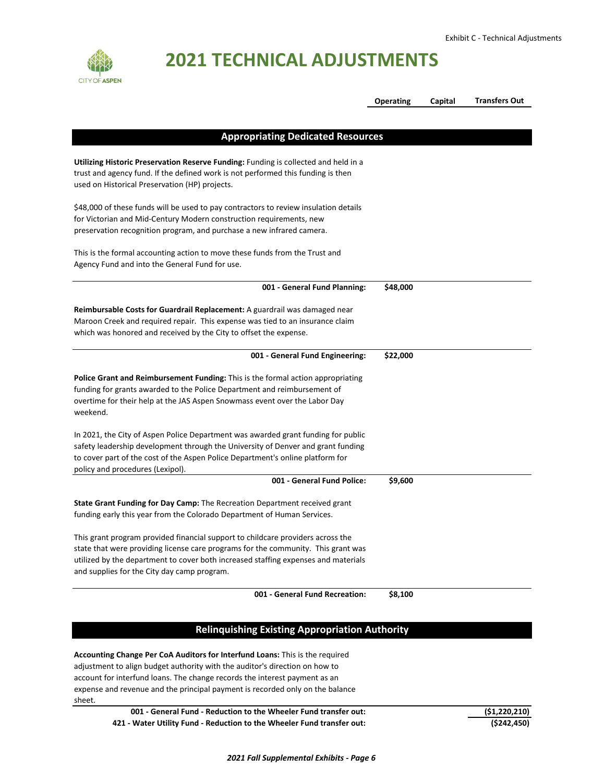

|                                                                                                                                                                                                                                                                                                           | <b>Operating</b> | Capital | <b>Transfers Out</b> |
|-----------------------------------------------------------------------------------------------------------------------------------------------------------------------------------------------------------------------------------------------------------------------------------------------------------|------------------|---------|----------------------|
|                                                                                                                                                                                                                                                                                                           |                  |         |                      |
| <b>Appropriating Dedicated Resources</b>                                                                                                                                                                                                                                                                  |                  |         |                      |
| Utilizing Historic Preservation Reserve Funding: Funding is collected and held in a<br>trust and agency fund. If the defined work is not performed this funding is then<br>used on Historical Preservation (HP) projects.                                                                                 |                  |         |                      |
| \$48,000 of these funds will be used to pay contractors to review insulation details<br>for Victorian and Mid-Century Modern construction requirements, new<br>preservation recognition program, and purchase a new infrared camera.                                                                      |                  |         |                      |
| This is the formal accounting action to move these funds from the Trust and<br>Agency Fund and into the General Fund for use.                                                                                                                                                                             |                  |         |                      |
| 001 - General Fund Planning:                                                                                                                                                                                                                                                                              | \$48,000         |         |                      |
| Reimbursable Costs for Guardrail Replacement: A guardrail was damaged near<br>Maroon Creek and required repair. This expense was tied to an insurance claim<br>which was honored and received by the City to offset the expense.                                                                          |                  |         |                      |
| 001 - General Fund Engineering:                                                                                                                                                                                                                                                                           | \$22,000         |         |                      |
| Police Grant and Reimbursement Funding: This is the formal action appropriating<br>funding for grants awarded to the Police Department and reimbursement of<br>overtime for their help at the JAS Aspen Snowmass event over the Labor Day<br>weekend.                                                     |                  |         |                      |
| In 2021, the City of Aspen Police Department was awarded grant funding for public<br>safety leadership development through the University of Denver and grant funding<br>to cover part of the cost of the Aspen Police Department's online platform for<br>policy and procedures (Lexipol).               |                  |         |                      |
| 001 - General Fund Police:                                                                                                                                                                                                                                                                                | \$9,600          |         |                      |
| State Grant Funding for Day Camp: The Recreation Department received grant<br>funding early this year from the Colorado Department of Human Services.                                                                                                                                                     |                  |         |                      |
| This grant program provided financial support to childcare providers across the<br>state that were providing license care programs for the community. This grant was<br>utilized by the department to cover both increased staffing expenses and materials<br>and supplies for the City day camp program. |                  |         |                      |
| 001 - General Fund Recreation:                                                                                                                                                                                                                                                                            | \$8,100          |         |                      |
|                                                                                                                                                                                                                                                                                                           |                  |         |                      |
| <b>Relinquishing Existing Appropriation Authority</b>                                                                                                                                                                                                                                                     |                  |         |                      |
| Accounting Change Per CoA Auditors for Interfund Loans: This is the required<br>adjustment to align budget authority with the auditor's direction on how to                                                                                                                                               |                  |         |                      |

adjustment to align budget authority with the auditor's direction on how to account for interfund loans. The change records the interest payment as an expense and revenue and the principal payment is recorded only on the balance sheet.

| 001 - General Fund - Reduction to the Wheeler Fund transfer out:       | (51, 220, 210) |
|------------------------------------------------------------------------|----------------|
| 421 - Water Utility Fund - Reduction to the Wheeler Fund transfer out: | (\$242,450)    |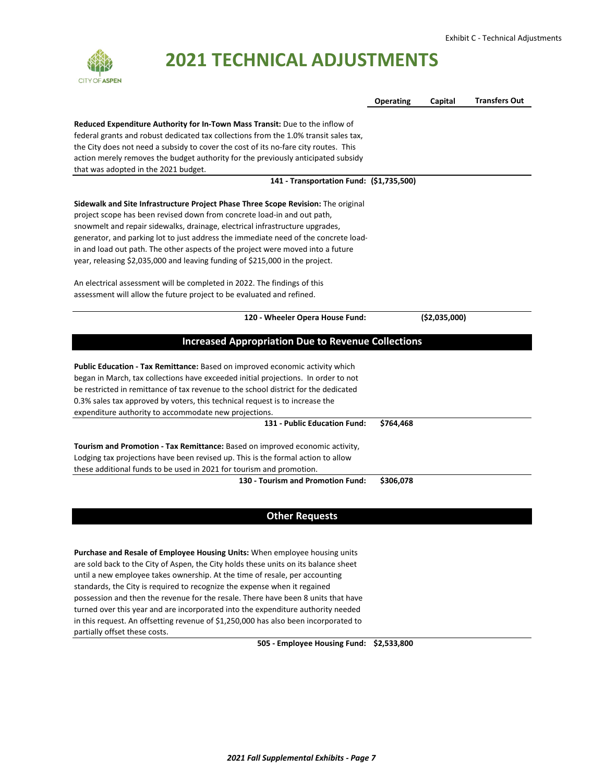

|                                                                                      | <b>Operating</b> | Capital        | <b>Transfers Out</b> |
|--------------------------------------------------------------------------------------|------------------|----------------|----------------------|
|                                                                                      |                  |                |                      |
| Reduced Expenditure Authority for In-Town Mass Transit: Due to the inflow of         |                  |                |                      |
| federal grants and robust dedicated tax collections from the 1.0% transit sales tax, |                  |                |                      |
| the City does not need a subsidy to cover the cost of its no-fare city routes. This  |                  |                |                      |
| action merely removes the budget authority for the previously anticipated subsidy    |                  |                |                      |
| that was adopted in the 2021 budget.                                                 |                  |                |                      |
| 141 - Transportation Fund: (\$1,735,500)                                             |                  |                |                      |
| Sidewalk and Site Infrastructure Project Phase Three Scope Revision: The original    |                  |                |                      |
| project scope has been revised down from concrete load-in and out path,              |                  |                |                      |
| snowmelt and repair sidewalks, drainage, electrical infrastructure upgrades,         |                  |                |                      |
| generator, and parking lot to just address the immediate need of the concrete load-  |                  |                |                      |
| in and load out path. The other aspects of the project were moved into a future      |                  |                |                      |
| year, releasing \$2,035,000 and leaving funding of \$215,000 in the project.         |                  |                |                      |
| An electrical assessment will be completed in 2022. The findings of this             |                  |                |                      |
| assessment will allow the future project to be evaluated and refined.                |                  |                |                      |
|                                                                                      |                  |                |                      |
| 120 - Wheeler Opera House Fund:                                                      |                  | ( \$2,035,000) |                      |
| <b>Increased Appropriation Due to Revenue Collections</b>                            |                  |                |                      |
| <b>Public Education - Tax Remittance:</b> Based on improved economic activity which  |                  |                |                      |
| began in March, tax collections have exceeded initial projections. In order to not   |                  |                |                      |
| be restricted in remittance of tax revenue to the school district for the dedicated  |                  |                |                      |
| 0.3% sales tax approved by voters, this technical request is to increase the         |                  |                |                      |
| expenditure authority to accommodate new projections.                                |                  |                |                      |
| 131 - Public Education Fund:                                                         | \$764,468        |                |                      |
| Tourism and Promotion - Tax Remittance: Based on improved economic activity,         |                  |                |                      |
| Lodging tax projections have been revised up. This is the formal action to allow     |                  |                |                      |
| these additional funds to be used in 2021 for tourism and promotion.                 |                  |                |                      |
| 130 - Tourism and Promotion Fund:                                                    | \$306,078        |                |                      |
|                                                                                      |                  |                |                      |
|                                                                                      |                  |                |                      |

#### **Other Requests**

**Purchase and Resale of Employee Housing Units:** When employee housing units are sold back to the City of Aspen, the City holds these units on its balance sheet until a new employee takes ownership. At the time of resale, per accounting standards, the City is required to recognize the expense when it regained possession and then the revenue for the resale. There have been 8 units that have turned over this year and are incorporated into the expenditure authority needed in this request. An offsetting revenue of \$1,250,000 has also been incorporated to partially offset these costs.

**505 ‐ Employee Housing Fund: \$2,533,800**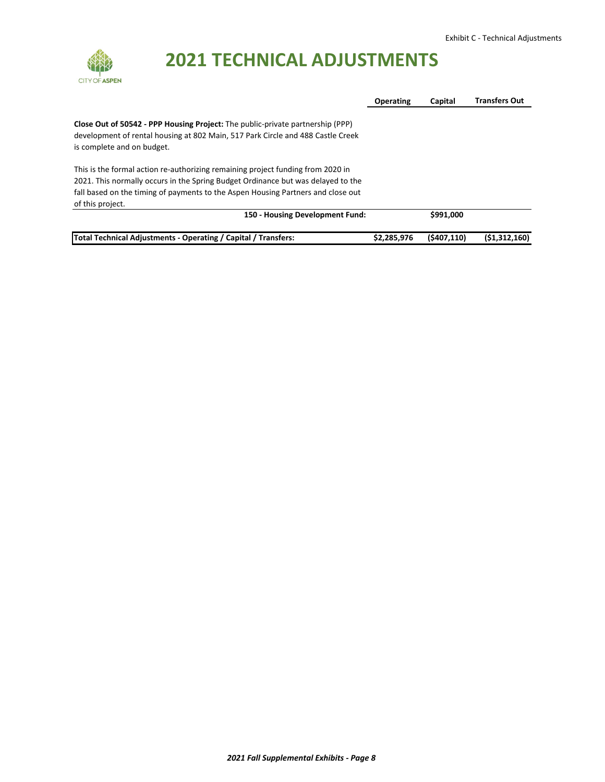

|                                                                                  | <b>Operating</b> | Capital   | <b>Transfers Out</b> |
|----------------------------------------------------------------------------------|------------------|-----------|----------------------|
| Close Out of 50542 - PPP Housing Project: The public-private partnership (PPP)   |                  |           |                      |
| development of rental housing at 802 Main, 517 Park Circle and 488 Castle Creek  |                  |           |                      |
| is complete and on budget.                                                       |                  |           |                      |
| This is the formal action re-authorizing remaining project funding from 2020 in  |                  |           |                      |
| 2021. This normally occurs in the Spring Budget Ordinance but was delayed to the |                  |           |                      |
| fall based on the timing of payments to the Aspen Housing Partners and close out |                  |           |                      |
| of this project.                                                                 |                  |           |                      |
| 150 - Housing Development Fund:                                                  |                  | \$991,000 |                      |
|                                                                                  |                  |           |                      |

**Total Technical Adjustments ‐ Operating / Capital / Transfers: \$2,285,976 (\$407,110) (\$1,312,160)**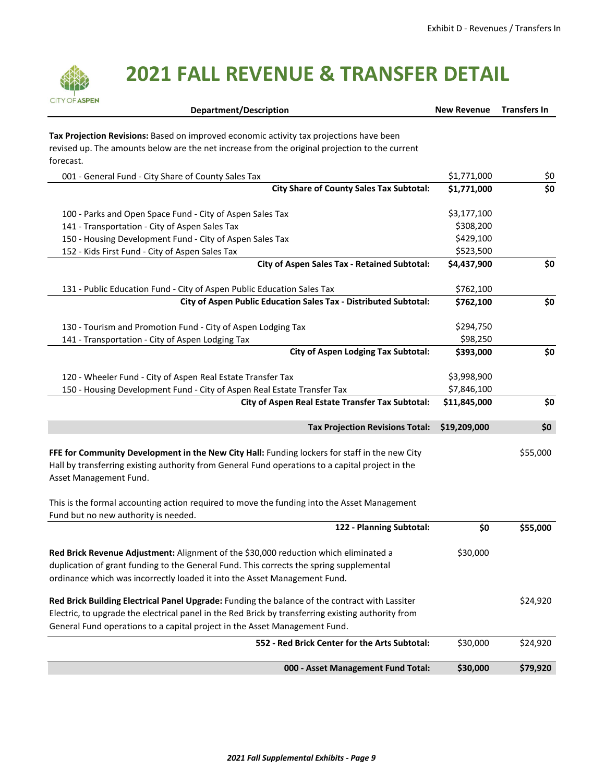

| <b>Department/Description</b>                                                                                                       | <b>New Revenue</b> | <b>Transfers In</b> |
|-------------------------------------------------------------------------------------------------------------------------------------|--------------------|---------------------|
| Tax Projection Revisions: Based on improved economic activity tax projections have been                                             |                    |                     |
| revised up. The amounts below are the net increase from the original projection to the current                                      |                    |                     |
| forecast.                                                                                                                           |                    |                     |
| 001 - General Fund - City Share of County Sales Tax                                                                                 | \$1,771,000        | \$0                 |
| <b>City Share of County Sales Tax Subtotal:</b>                                                                                     | \$1,771,000        | \$0                 |
| 100 - Parks and Open Space Fund - City of Aspen Sales Tax                                                                           | \$3,177,100        |                     |
| 141 - Transportation - City of Aspen Sales Tax                                                                                      | \$308,200          |                     |
| 150 - Housing Development Fund - City of Aspen Sales Tax                                                                            | \$429,100          |                     |
| 152 - Kids First Fund - City of Aspen Sales Tax                                                                                     | \$523,500          |                     |
| City of Aspen Sales Tax - Retained Subtotal:                                                                                        | \$4,437,900        | \$0                 |
| 131 - Public Education Fund - City of Aspen Public Education Sales Tax                                                              | \$762,100          |                     |
| City of Aspen Public Education Sales Tax - Distributed Subtotal:                                                                    | \$762,100          | \$0                 |
| 130 - Tourism and Promotion Fund - City of Aspen Lodging Tax                                                                        | \$294,750          |                     |
| 141 - Transportation - City of Aspen Lodging Tax                                                                                    | \$98,250           |                     |
| <b>City of Aspen Lodging Tax Subtotal:</b>                                                                                          | \$393,000          | \$0                 |
| 120 - Wheeler Fund - City of Aspen Real Estate Transfer Tax                                                                         | \$3,998,900        |                     |
| 150 - Housing Development Fund - City of Aspen Real Estate Transfer Tax                                                             | \$7,846,100        |                     |
| City of Aspen Real Estate Transfer Tax Subtotal:                                                                                    | \$11,845,000       | \$0                 |
| <b>Tax Projection Revisions Total:</b>                                                                                              | \$19,209,000       | \$0                 |
|                                                                                                                                     |                    |                     |
| FFE for Community Development in the New City Hall: Funding lockers for staff in the new City                                       |                    | \$55,000            |
| Hall by transferring existing authority from General Fund operations to a capital project in the<br>Asset Management Fund.          |                    |                     |
|                                                                                                                                     |                    |                     |
| This is the formal accounting action required to move the funding into the Asset Management<br>Fund but no new authority is needed. |                    |                     |
| 122 - Planning Subtotal:                                                                                                            | \$0                | \$55,000            |
|                                                                                                                                     |                    |                     |
| Red Brick Revenue Adjustment: Alignment of the \$30,000 reduction which eliminated a                                                | \$30,000           |                     |
| duplication of grant funding to the General Fund. This corrects the spring supplemental                                             |                    |                     |
| ordinance which was incorrectly loaded it into the Asset Management Fund.                                                           |                    |                     |
| Red Brick Building Electrical Panel Upgrade: Funding the balance of the contract with Lassiter                                      |                    | \$24,920            |
| Electric, to upgrade the electrical panel in the Red Brick by transferring existing authority from                                  |                    |                     |
| General Fund operations to a capital project in the Asset Management Fund.                                                          |                    |                     |
| 552 - Red Brick Center for the Arts Subtotal:                                                                                       | \$30,000           | \$24,920            |
| 000 - Asset Management Fund Total:                                                                                                  | \$30,000           | \$79,920            |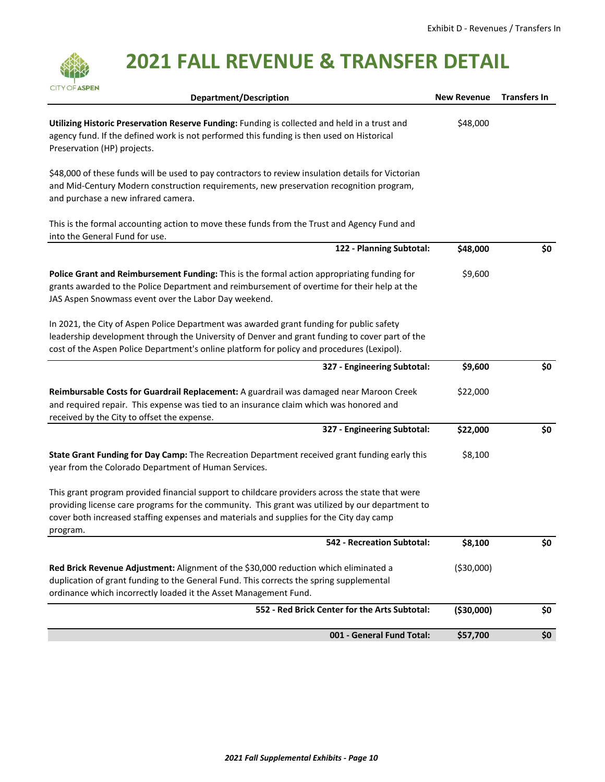| <b>CITY OF ASPEN</b><br><b>Department/Description</b>                                                                                                                                                                                                                                                     | <b>New Revenue</b> | <b>Transfers In</b> |
|-----------------------------------------------------------------------------------------------------------------------------------------------------------------------------------------------------------------------------------------------------------------------------------------------------------|--------------------|---------------------|
| Utilizing Historic Preservation Reserve Funding: Funding is collected and held in a trust and<br>agency fund. If the defined work is not performed this funding is then used on Historical<br>Preservation (HP) projects.                                                                                 | \$48,000           |                     |
| \$48,000 of these funds will be used to pay contractors to review insulation details for Victorian<br>and Mid-Century Modern construction requirements, new preservation recognition program,<br>and purchase a new infrared camera.                                                                      |                    |                     |
| This is the formal accounting action to move these funds from the Trust and Agency Fund and<br>into the General Fund for use.                                                                                                                                                                             |                    |                     |
| 122 - Planning Subtotal:                                                                                                                                                                                                                                                                                  | \$48,000           | \$0                 |
| Police Grant and Reimbursement Funding: This is the formal action appropriating funding for<br>grants awarded to the Police Department and reimbursement of overtime for their help at the<br>JAS Aspen Snowmass event over the Labor Day weekend.                                                        | \$9,600            |                     |
| In 2021, the City of Aspen Police Department was awarded grant funding for public safety<br>leadership development through the University of Denver and grant funding to cover part of the<br>cost of the Aspen Police Department's online platform for policy and procedures (Lexipol).                  |                    |                     |
| 327 - Engineering Subtotal:                                                                                                                                                                                                                                                                               | \$9,600            | \$0                 |
| Reimbursable Costs for Guardrail Replacement: A guardrail was damaged near Maroon Creek<br>and required repair. This expense was tied to an insurance claim which was honored and<br>received by the City to offset the expense.                                                                          | \$22,000           |                     |
| 327 - Engineering Subtotal:                                                                                                                                                                                                                                                                               | \$22,000           | \$0                 |
| State Grant Funding for Day Camp: The Recreation Department received grant funding early this<br>year from the Colorado Department of Human Services.                                                                                                                                                     | \$8,100            |                     |
| This grant program provided financial support to childcare providers across the state that were<br>providing license care programs for the community. This grant was utilized by our department to<br>cover both increased staffing expenses and materials and supplies for the City day camp<br>program. |                    |                     |
| 542 - Recreation Subtotal:                                                                                                                                                                                                                                                                                | \$8,100            | \$0                 |
| Red Brick Revenue Adjustment: Alignment of the \$30,000 reduction which eliminated a<br>duplication of grant funding to the General Fund. This corrects the spring supplemental<br>ordinance which incorrectly loaded it the Asset Management Fund.                                                       | ( \$30,000)        |                     |
| 552 - Red Brick Center for the Arts Subtotal:                                                                                                                                                                                                                                                             | ( \$30,000]        | \$0                 |
| 001 - General Fund Total:                                                                                                                                                                                                                                                                                 | \$57,700           | \$0                 |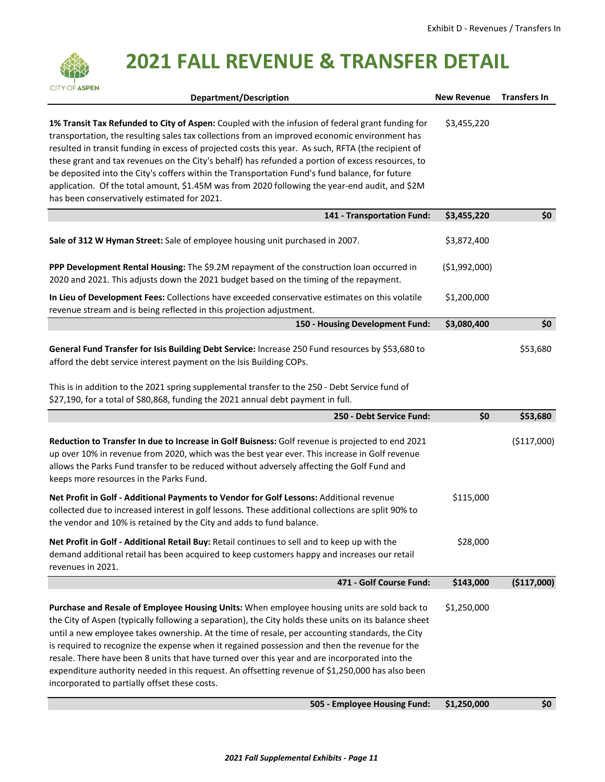| <b>CITY OF ASPEN</b><br><b>Department/Description</b>                                                                                                                                                                                                                                                                                                                                                                                                                                                                                                                                                                                                            | <b>New Revenue</b> | <b>Transfers In</b> |
|------------------------------------------------------------------------------------------------------------------------------------------------------------------------------------------------------------------------------------------------------------------------------------------------------------------------------------------------------------------------------------------------------------------------------------------------------------------------------------------------------------------------------------------------------------------------------------------------------------------------------------------------------------------|--------------------|---------------------|
|                                                                                                                                                                                                                                                                                                                                                                                                                                                                                                                                                                                                                                                                  |                    |                     |
| 1% Transit Tax Refunded to City of Aspen: Coupled with the infusion of federal grant funding for<br>transportation, the resulting sales tax collections from an improved economic environment has<br>resulted in transit funding in excess of projected costs this year. As such, RFTA (the recipient of<br>these grant and tax revenues on the City's behalf) has refunded a portion of excess resources, to<br>be deposited into the City's coffers within the Transportation Fund's fund balance, for future<br>application. Of the total amount, \$1.45M was from 2020 following the year-end audit, and \$2M<br>has been conservatively estimated for 2021. | \$3,455,220        |                     |
| 141 - Transportation Fund:                                                                                                                                                                                                                                                                                                                                                                                                                                                                                                                                                                                                                                       | \$3,455,220        | \$0                 |
| Sale of 312 W Hyman Street: Sale of employee housing unit purchased in 2007.                                                                                                                                                                                                                                                                                                                                                                                                                                                                                                                                                                                     | \$3,872,400        |                     |
| PPP Development Rental Housing: The \$9.2M repayment of the construction loan occurred in<br>2020 and 2021. This adjusts down the 2021 budget based on the timing of the repayment.                                                                                                                                                                                                                                                                                                                                                                                                                                                                              | ( \$1,992,000)     |                     |
| In Lieu of Development Fees: Collections have exceeded conservative estimates on this volatile<br>revenue stream and is being reflected in this projection adjustment.                                                                                                                                                                                                                                                                                                                                                                                                                                                                                           | \$1,200,000        |                     |
| 150 - Housing Development Fund:                                                                                                                                                                                                                                                                                                                                                                                                                                                                                                                                                                                                                                  | \$3,080,400        | \$0                 |
| General Fund Transfer for Isis Building Debt Service: Increase 250 Fund resources by \$53,680 to<br>afford the debt service interest payment on the Isis Building COPs.                                                                                                                                                                                                                                                                                                                                                                                                                                                                                          |                    | \$53,680            |
| This is in addition to the 2021 spring supplemental transfer to the 250 - Debt Service fund of<br>\$27,190, for a total of \$80,868, funding the 2021 annual debt payment in full.                                                                                                                                                                                                                                                                                                                                                                                                                                                                               |                    |                     |
| 250 - Debt Service Fund:                                                                                                                                                                                                                                                                                                                                                                                                                                                                                                                                                                                                                                         | \$0                | \$53,680            |
| Reduction to Transfer In due to Increase in Golf Buisness: Golf revenue is projected to end 2021<br>up over 10% in revenue from 2020, which was the best year ever. This increase in Golf revenue<br>allows the Parks Fund transfer to be reduced without adversely affecting the Golf Fund and<br>keeps more resources in the Parks Fund.                                                                                                                                                                                                                                                                                                                       |                    | ( \$117,000)        |
| Net Profit in Golf - Additional Payments to Vendor for Golf Lessons: Additional revenue<br>collected due to increased interest in golf lessons. These additional collections are split 90% to<br>the vendor and 10% is retained by the City and adds to fund balance.                                                                                                                                                                                                                                                                                                                                                                                            | \$115,000          |                     |
| Net Profit in Golf - Additional Retail Buy: Retail continues to sell and to keep up with the<br>demand additional retail has been acquired to keep customers happy and increases our retail<br>revenues in 2021.                                                                                                                                                                                                                                                                                                                                                                                                                                                 | \$28,000           |                     |
| 471 - Golf Course Fund:                                                                                                                                                                                                                                                                                                                                                                                                                                                                                                                                                                                                                                          | \$143,000          | (\$117,000)         |
| Purchase and Resale of Employee Housing Units: When employee housing units are sold back to<br>the City of Aspen (typically following a separation), the City holds these units on its balance sheet<br>until a new employee takes ownership. At the time of resale, per accounting standards, the City<br>is required to recognize the expense when it regained possession and then the revenue for the<br>resale. There have been 8 units that have turned over this year and are incorporated into the<br>expenditure authority needed in this request. An offsetting revenue of \$1,250,000 has also been<br>incorporated to partially offset these costs.   | \$1,250,000        |                     |
| 505 - Employee Housing Fund:                                                                                                                                                                                                                                                                                                                                                                                                                                                                                                                                                                                                                                     | \$1,250,000        | \$0                 |